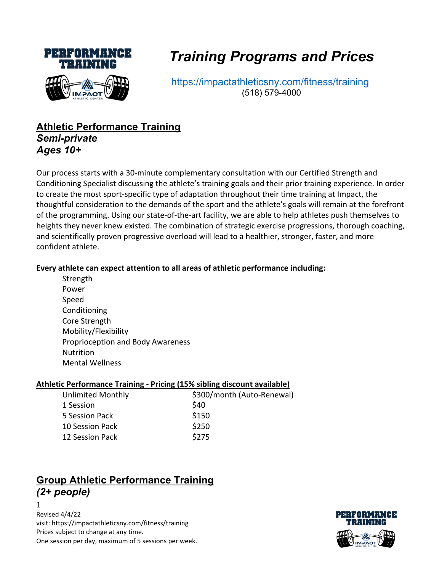

# *Training Programs and Prices*

https://impactathleticsny.com/fitness/training (518) 579-4000

## **Athletic Performance Training** *Semi-private Ages 10+*

Our process starts with a 30-minute complementary consultation with our Certified Strength and Conditioning Specialist discussing the athlete's training goals and their prior training experience. In order to create the most sport-specific type of adaptation throughout their time training at Impact, the thoughtful consideration to the demands of the sport and the athlete's goals will remain at the forefront of the programming. Using our state-of-the-art facility, we are able to help athletes push themselves to heights they never knew existed. The combination of strategic exercise progressions, thorough coaching, and scientifically proven progressive overload will lead to a healthier, stronger, faster, and more confident athlete.

#### **Every athlete can expect attention to all areas of athletic performance including:**

**Strength** Power Speed Conditioning Core Strength Mobility/Flexibility Proprioception and Body Awareness Nutrition Mental Wellness

#### **Athletic Performance Training - Pricing (15% sibling discount available)**

| \$300/month (Auto-Renewal) |
|----------------------------|
| \$40                       |
| \$150                      |
| \$250                      |
| \$275                      |
|                            |

# **Group Athletic Performance Training** *(2+ people)*

 $1 \quad \overline{\quad}$ 

Revised 4/4/22 visit: https://impactathleticsny.com/fitness/training Prices subject to change at any time. One session per day, maximum of 5 sessions per week.

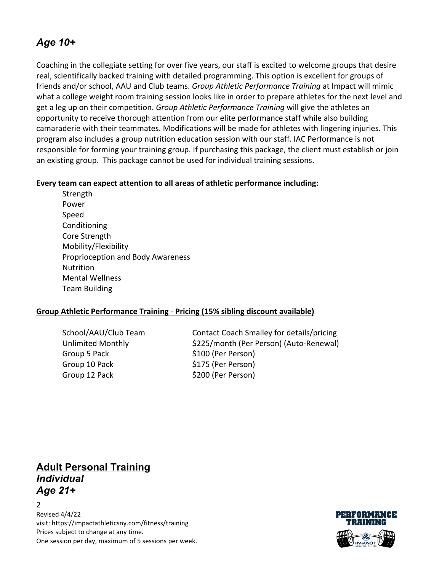# *Age 10+*

Coaching in the collegiate setting for over five years, our staff is excited to welcome groups that desire real, scientifically backed training with detailed programming. This option is excellent for groups of friends and/or school, AAU and Club teams. *Group Athletic Performance Training* at Impact will mimic what a college weight room training session looks like in order to prepare athletes for the next level and get a leg up on their competition. *Group Athletic Performance Training* will give the athletes an opportunity to receive thorough attention from our elite performance staff while also building camaraderie with their teammates. Modifications will be made for athletes with lingering injuries. This program also includes a group nutrition education session with our staff. IAC Performance is not responsible for forming your training group. If purchasing this package, the client must establish or join an existing group. This package cannot be used for individual training sessions.

#### **Every team can expect attention to all areas of athletic performance including:**

**Strength** Power Speed Conditioning Core Strength Mobility/Flexibility Proprioception and Body Awareness Nutrition Mental Wellness Team Building

#### **Group Athletic Performance Training** - **Pricing (15% sibling discount available)**

Group 5 Pack  $$100$  (Per Person) Group 10 Pack \$175 (Per Person) Group 12 Pack \$200 (Per Person)

School/AAU/Club Team Contact Coach Smalley for details/pricing Unlimited Monthly \$225/month (Per Person) (Auto-Renewal)

**Adult Personal Training** *Individual Age 21+*

2 Revised 4/4/22 visit: https://impactathleticsny.com/fitness/training Prices subject to change at any time. One session per day, maximum of 5 sessions per week.

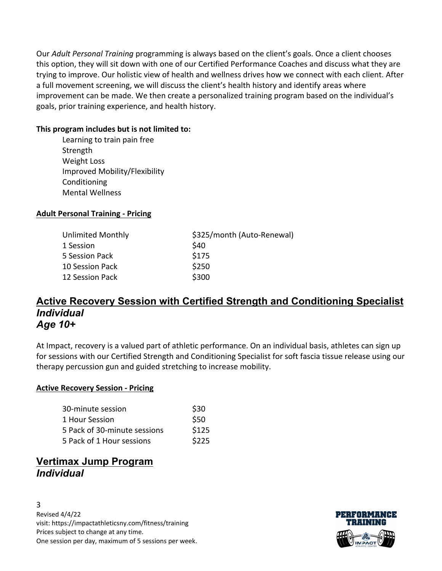Our *Adult Personal Training* programming is always based on the client's goals. Once a client chooses this option, they will sit down with one of our Certified Performance Coaches and discuss what they are trying to improve. Our holistic view of health and wellness drives how we connect with each client. After a full movement screening, we will discuss the client's health history and identify areas where improvement can be made. We then create a personalized training program based on the individual's goals, prior training experience, and health history.

#### **This program includes but is not limited to:**

Learning to train pain free Strength Weight Loss Improved Mobility/Flexibility Conditioning Mental Wellness

#### **Adult Personal Training - Pricing**

| Unlimited Monthly | \$325/month (Auto-Renewal) |
|-------------------|----------------------------|
| 1 Session         | \$40                       |
| 5 Session Pack    | \$175                      |
| 10 Session Pack   | \$250                      |
| 12 Session Pack   | \$300                      |

### **Active Recovery Session with Certified Strength and Conditioning Specialist** *Individual Age 10+*

At Impact, recovery is a valued part of athletic performance. On an individual basis, athletes can sign up for sessions with our Certified Strength and Conditioning Specialist for soft fascia tissue release using our therapy percussion gun and guided stretching to increase mobility.

#### **Active Recovery Session - Pricing**

| 30-minute session            | \$30       |
|------------------------------|------------|
| 1 Hour Session               | <b>S50</b> |
| 5 Pack of 30-minute sessions | \$125      |
| 5 Pack of 1 Hour sessions    | \$225      |

## **Vertimax Jump Program** *Individual*

3 Revised 4/4/22 visit: https://impactathleticsny.com/fitness/training Prices subject to change at any time. One session per day, maximum of 5 sessions per week.